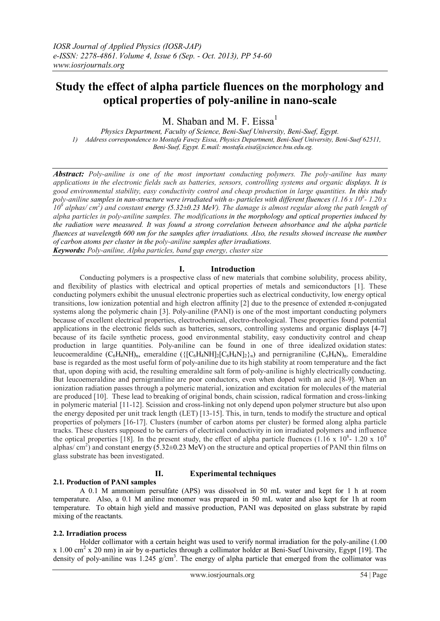# **Study the effect of alpha particle fluences on the morphology and optical properties of poly-aniline in nano-scale**

M. Shaban and M. F. Eissa<sup>1</sup>

*Physics Department, Faculty of Science, Beni-Suef University, Beni-Suef, Egypt. 1) Address correspondence to Mostafa Fawzy Eissa, Physics Department, Beni-Suef University, Beni-Suef 62511, Beni-Suef, Egypt. E.mail: mostafa.eisa@science.bsu.edu.eg.*

*Abstract: Poly-aniline is one of the most important conducting polymers. The poly-aniline has many applications in the electronic fields such as batteries, sensors, controlling systems and organic displays. It is good environmental stability, easy conductivity control and cheap production in large quantities. In this study poly-aniline samples in nan-structure were irradiated with α- particles with different fluences (1.16 x 10<sup>8</sup> - 1.20 x*   $10^9$  alphas/ cm<sup>2</sup>) and constant energy (5.32±0.23 MeV). The damage is almost regular along the path length of *alpha particles in poly-aniline samples. The modifications in the morphology and optical properties induced by the radiation were measured. It was found a strong correlation between absorbance and the alpha particle fluences at wavelength 600 nm for the samples after irradiations. Also, the results showed increase the number of carbon atoms per cluster in the poly-aniline samples after irradiations. Keywords: Poly-aniline, Alpha particles, band gap energy, cluster size*

#### **I. Introduction**

Conducting polymers is a prospective class of new materials that combine solubility, process ability, and flexibility of plastics with electrical and optical properties of metals and semiconductors [1]. These conducting polymers exhibit the unusual electronic properties such as electrical conductivity, low energy optical transitions, low ionization potential and high electron affinity [2] due to the presence of extended π-conjugated systems along the polymeric chain [3]. Poly-aniline (PANI) is one of the most important conducting polymers because of excellent electrical properties, electrochemical, electro-rheological. These properties found potential applications in the electronic fields such as batteries, sensors, controlling systems and organic displays [4-7] because of its facile synthetic process, good environmental stability, easy conductivity control and cheap production in large quantities. Poly-aniline can be found in one of three idealized [oxidation](http://en.wikipedia.org/wiki/Oxidation) states: leucoemeraldine  $(C_6H_4NH)_n$ , emeraldine  $({\{[C_6H_4NH_2]C_6H_4N]_2}\}_n)$  and pernigraniline  $(C_6H_4N)_n$ . Emeraldine base is regarded as the most useful form of poly-aniline due to its high stability at room temperature and the fact that, upon doping with acid, the resulting emeraldine salt form of poly-aniline is highly electrically conducting. But leucoemeraldine and pernigraniline are poor conductors, even when doped with an acid [8-9]. When an ionization radiation passes through a polymeric material, ionization and excitation for molecules of the material are produced [10]. These lead to breaking of original bonds, chain scission, radical formation and cross-linking in polymeric material [11-12]. Scission and cross-linking not only depend upon polymer structure but also upon the energy deposited per unit track length (LET) [13-15]. This, in turn, tends to modify the structure and optical properties of polymers [16-17]. Clusters (number of carbon atoms per cluster) be formed along alpha particle tracks. These clusters supposed to be carriers of electrical conductivity in ion irradiated polymers and influence the optical properties [18]. In the present study, the effect of alpha particle fluences  $(1.16 \times 10^8 - 1.20 \times 10^9)$ alphas/ cm<sup>2</sup>) and constant energy (5.32 $\pm$ 0.23 MeV) on the structure and optical properties of PANI thin films on glass substrate has been investigated.

## **2.1. Production of PANI samples**

## **II. Experimental techniques**

A 0.1 M ammonium persulfate (APS) was dissolved in 50 mL water and kept for 1 h at room temperature. Also, a 0.1 M aniline monomer was prepared in 50 mL water and also kept for 1h at room temperature. To obtain high yield and massive production, PANI was deposited on glass substrate by rapid mixing of the reactants.

#### **2.2. Irradiation process**

Holder collimator with a certain height was used to verify normal irradiation for the poly-aniline (1.00 x 1.00 cm<sup>2</sup> x 20 nm) in air by  $\alpha$ -particles through a collimator holder at Beni-Suef University, Egypt [19]. The density of poly-aniline was  $1.245$  g/cm<sup>3</sup>. The energy of alpha particle that emerged from the collimator was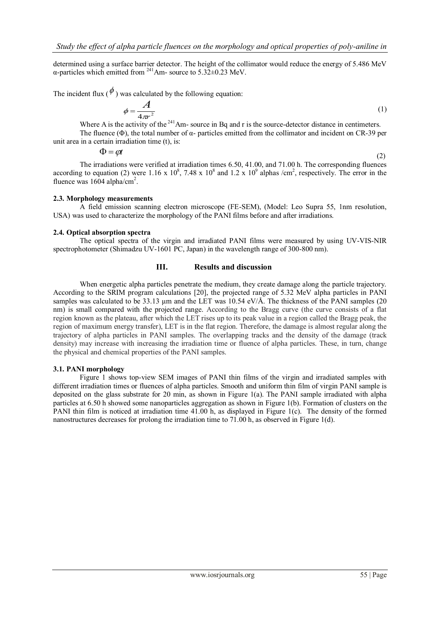determined using a surface barrier detector. The height of the collimator would reduce the energy of 5.486 MeV  $α$ -particles which emitted from  $241$ Am- source to  $5.32 \pm 0.23$  MeV.

The incident flux ( $\phi$ ) was calculated by the following equation:

$$
\phi = \frac{A}{4\pi r^2} \tag{1}
$$

Where A is the activity of the  $241$ Am- source in Bq and r is the source-detector distance in centimeters.

The fluence (Φ), the total number of α- particles emitted from the collimator and incident on CR-39 per unit area in a certain irradiation time (t), is:

> $\Phi = \omega t$ (2)

The irradiations were verified at irradiation times 6.50, 41.00, and 71.00 h. The corresponding fluences according to equation (2) were 1.16 x  $10^8$ , 7.48 x  $10^8$  and 1.2 x  $10^9$  alphas /cm<sup>2</sup>, respectively. The error in the fluence was  $1604$  alpha/cm<sup>2</sup>.

#### **2.3. Morphology measurements**

A field emission scanning electron microscope (FE-SEM), (Model: Leo Supra 55, [1nm resolution,](http://www.aucegypt.edu/research/jameel/facilities/Pages/FieldEmissionScanningElectronMicroscope.aspx) USA) was used to characterize the morphology of the PANI films before and after irradiations.

### **2.4. Optical absorption spectra**

The optical spectra of the virgin and irradiated PANI films were measured by using UV-VIS-NIR spectrophotometer (Shimadzu UV-1601 PC, Japan) in the wavelength range of 300-800 nm).

#### **III. Results and discussion**

When energetic alpha particles penetrate the medium, they create damage along the particle trajectory. According to the SRIM program calculations [20], the projected range of 5.32 MeV alpha particles in PANI samples was calculated to be 33.13  $\mu$ m and the LET was 10.54 eV/Å. The thickness of the PANI samples (20 nm) is small compared with the projected range. According to the Bragg curve (the curve consists of a flat region known as the plateau, after which the LET rises up to its peak value in a region called the Bragg peak, the region of maximum energy transfer), LET is in the flat region. Therefore, the damage is almost regular along the trajectory of alpha particles in PANI samples. The overlapping tracks and the density of the damage (track density) may increase with increasing the irradiation time or fluence of alpha particles. These, in turn, change the physical and chemical properties of the PANI samples.

#### **3.1. PANI morphology**

Figure 1 shows top-view SEM images of PANI thin films of the virgin and irradiated samples with different irradiation times or fluences of alpha particles. Smooth and uniform thin film of virgin PANI sample is deposited on the glass substrate for 20 min, as shown in Figure 1(a). The PANI sample irradiated with alpha particles at 6.50 h showed some nanoparticles aggregation as shown in Figure 1(b). Formation of clusters on the PANI thin film is noticed at irradiation time 41.00 h, as displayed in Figure 1(c). The density of the formed nanostructures decreases for prolong the irradiation time to 71.00 h, as observed in Figure 1(d).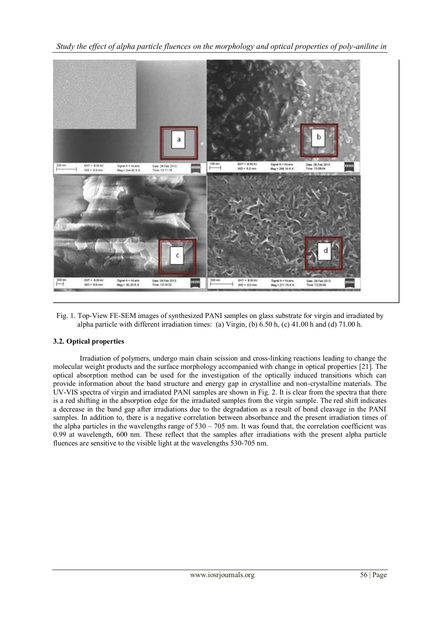*Study the effect of alpha particle fluences on the morphology and optical properties of poly-aniline in* 



Fig. 1. Top-View FE-SEM images of synthesized PANI samples on glass substrate for virgin and irradiated by alpha particle with different irradiation times: (a) Virgin, (b) 6.50 h, (c) 41.00 h and (d) 71.00 h.

## **3.2. Optical properties**

Irradiation of polymers, undergo main chain scission and cross-linking reactions leading to change the molecular weight products and the surface morphology accompanied with change in optical properties [21]. The optical absorption method can be used for the investigation of the optically induced transitions which can provide information about the band structure and energy gap in crystalline and non-crystalline materials. The UV-VIS spectra of virgin and irradiated PANI samples are shown in Fig. 2. It is clear from the spectra that there is a red shifting in the absorption edge for the irradiated samples from the virgin sample. The red shift indicates a decrease in the band gap after irradiations due to the degradation as a result of bond cleavage in the PANI samples. In addition to, there is a negative correlation between absorbance and the present irradiation times of the alpha particles in the wavelengths range of  $530 - 705$  nm. It was found that, the correlation coefficient was 0.99 at wavelength, 600 nm. These reflect that the samples after irradiations with the present alpha particle fluences are sensitive to the visible light at the wavelengths 530-705 nm.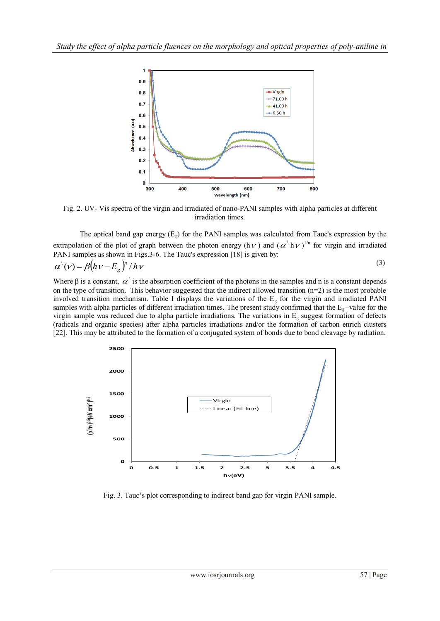

Fig. 2. UV- Vis spectra of the virgin and irradiated of nano-PANI samples with alpha particles at different irradiation times.

The optical band gap energy  $(E_g)$  for the PANI samples was calculated from Tauc's expression by the extrapolation of the plot of graph between the photon energy (h $\nu$ ) and ( $\alpha'$  h $\nu$ )<sup>1/n</sup> for virgin and irradiated PANI samples as shown in Figs.3-6. The Tauc's expression [18] is given by:

$$
\alpha^{\setminus}(\nu) = \beta \left( h \nu - E_g \right)^n / h \nu \tag{3}
$$

Where  $\beta$  is a constant,  $\alpha'$  is the absorption coefficient of the photons in the samples and n is a constant depends on the type of transition. This behavior suggested that the indirect allowed transition  $(n=2)$  is the most probable involved transition mechanism. Table I displays the variations of the  $E<sub>g</sub>$  for the virgin and irradiated PANI samples with alpha particles of different irradiation times. The present study confirmed that the  $E<sub>g</sub>$ -value for the virgin sample was reduced due to alpha particle irradiations. The variations in  $E<sub>g</sub>$  suggest formation of defects (radicals and organic species) after alpha particles irradiations and/or the formation of carbon enrich clusters [22]. This may be attributed to the formation of a conjugated system of bonds due to bond cleavage by radiation.



Fig. 3. Tauc's plot corresponding to indirect band gap for virgin PANI sample.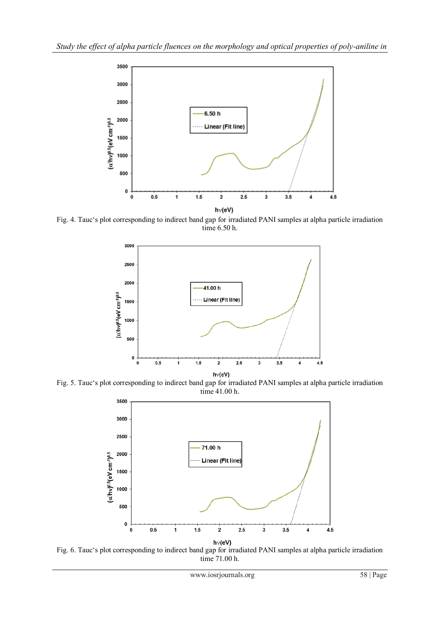

Fig. 4. Tauc's plot corresponding to indirect band gap for irradiated PANI samples at alpha particle irradiation time 6.50 h.



Fig. 5. Tauc's plot corresponding to indirect band gap for irradiated PANI samples at alpha particle irradiation time 41.00 h.



Fig. 6. Tauc's plot corresponding to indirect band gap for irradiated PANI samples at alpha particle irradiation time 71.00 h.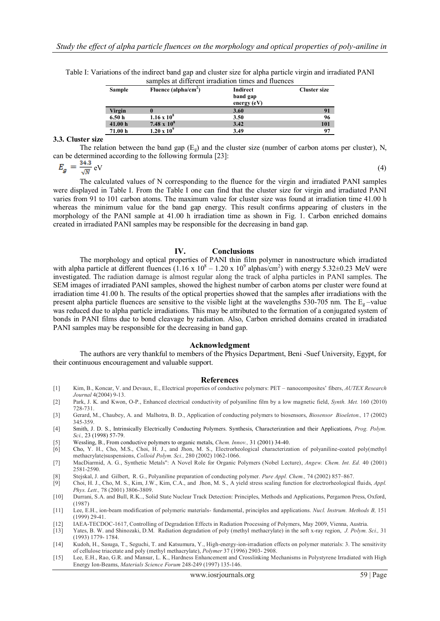| Sample  | Fluence (alpha/cm <sup>2</sup> ) | Indirect<br>band gap<br>energy $(eV)$ | <b>Cluster size</b> |
|---------|----------------------------------|---------------------------------------|---------------------|
| Virgin  |                                  | 3.60                                  | 91                  |
| 6.50h   | $1.16 \times 10^8$               | 3.50                                  | 96                  |
| 41.00 h | 7.48 x $10^8$                    | 3.42                                  | 101                 |
| 71.00 h | $1.20 \times 10^{9}$             | 3.49                                  | 97                  |

Table I: Variations of the indirect band gap and cluster size for alpha particle virgin and irradiated PANI samples at different irradiation times and fluences

#### **3.3. Cluster size**

The relation between the band gap  $(E_g)$  and the cluster size (number of carbon atoms per cluster), N, can be determined according to the following formula [23]:

$$
E_g = \frac{34.3}{\sqrt{N}} \,\mathrm{eV} \tag{4}
$$

The calculated values of N corresponding to the fluence for the virgin and irradiated PANI samples were displayed in Table I. From the Table I one can find that the cluster size for virgin and irradiated PANI varies from 91 to 101 carbon atoms. The maximum value for cluster size was found at irradiation time 41.00 h whereas the minimum value for the band gap energy. This result confirms appearing of clusters in the morphology of the PANI sample at 41.00 h irradiation time as shown in Fig. 1. Carbon enriched domains created in irradiated PANI samples may be responsible for the decreasing in band gap.

#### **IV. Conclusions**

The morphology and optical properties of PANI thin film polymer in nanostructure which irradiated with alpha particle at different fluences  $(1.16 \times 10^8 - 1.20 \times 10^9 \text{ alphas/cm}^2)$  with energy 5.32±0.23 MeV were investigated. The radiation damage is almost regular along the track of alpha particles in PANI samples. The SEM images of irradiated PANI samples, showed the highest number of carbon atoms per cluster were found at irradiation time 41.00 h. The results of the optical properties showed that the samples after irradiations with the present alpha particle fluences are sensitive to the visible light at the wavelengths 530-705 nm. The  $E<sub>g</sub>$ -value was reduced due to alpha particle irradiations. This may be attributed to the formation of a conjugated system of bonds in PANI films due to bond cleavage by radiation. Also, Carbon enriched domains created in irradiated PANI samples may be responsible for the decreasing in band gap.

#### **Acknowledgment**

The authors are very thankful to members of the Physics Department, Beni -Suef University, Egypt, for their continuous encouragement and valuable support.

#### **References**

- [1] Kim, B., Koncar, V. and Devaux, E., Electrical properties of conductive polymers: PET nanocomposites' fibers, *AUTEX Research Journal* 4(2004) 9-13.
- [2] Park, J. K. and Kwon, O-P., Enhanced electrical conductivity of polyaniline film by a low magnetic field, *Synth. Met.* 160 (2010) 728-731.
- [3] Gerard, M., Chaubey, A. and Malhotra, B. D., Application of conducting polymers to biosensors, *Biosensor Bioeleton.,* 17 (2002) 345-359.
- [4] Smith, J. D. S., Intrinsically Electrically Conducting Polymers. Synthesis, Characterization and their Applications, *Prog. Polym. Sci.,* 23 (1998) 57-79.
- [5] Wessling, B., From conductive polymers to organic metals, *Chem. Innov.,* 31 (2001) 34-40.
- [6] Cho, Y. H., Cho, M.S., Choi, H. J., and Jhon, M. S., Electrorheological characterization of polyaniline-coated poly(methyl methacrylate)suspensions, *Colloid Polym. Sci.,* 280 (2002) 1062-1066.
- [7] MacDiarmid, A. G., Synthetic Metals": A Novel Role for Organic Polymers (Nobel Lecture), *Angew. Chem. Int. Ed.* 40 (2001) 2581-2590.
- [8] Stejskal, J. and Gilbert, R. G., Polyaniline preparation of conducting polymer. *Pure Appl. Chem.,* 74 (2002) 857–867.
- [9] Choi, H. J., Cho, M. S., Kim, J.W., Kim, C.A., and Jhon, M. S., A yield stress scaling function for electrorheological fluids, *Appl. Phys. Lett.,* 78 (2001) 3806-3809.
- [10] Durrani, S.A. and Bull, R.K.., Solid State Nuclear Track Detection: Principles, Methods and Applications, Pergamon Press, Oxford, (1987)
- [11] Lee, E.H., ion-beam modification of polymeric materials- fundamental, principles and applications. *Nucl. Instrum. Methods B,* 151 (1999) 29-41.
- [12] IAEA-TECDOC-1617, Controlling of Degradation Effects in Radiation Processing of Polymers, May 2009, Vienna, Austria.<br>[13] Yates, B. W. and Shinozaki, D.M. Radiation degradation of poly (methyl methacrylate) in the sof
- [13] Yates, B. W. and Shinozaki, D.M. Radiation degradation of poly (methyl methacrylate) in the soft x-ray region, *J. Polym. Sci.,* 31 (1993) 1779- 1784.
- [14] Kudoh, H., Sasuga, T., Seguchi, T. and Katsumura, Y., High-energy-ion-irradiation effects on polymer materials: 3. The sensitivity of cellulose triacetate and poly (methyl methacrylate), *Polymer* 37 (1996) 2903- 2908.
- [15] Lee, E.H., Rao, G.R. and Mansur, L. K., Hardness Enhancement and Crosslinking Mechanisms in Polystyrene Irradiated with High Energy Ion-Beams, *Materials Science Forum* 248-249 (1997) 135-146.